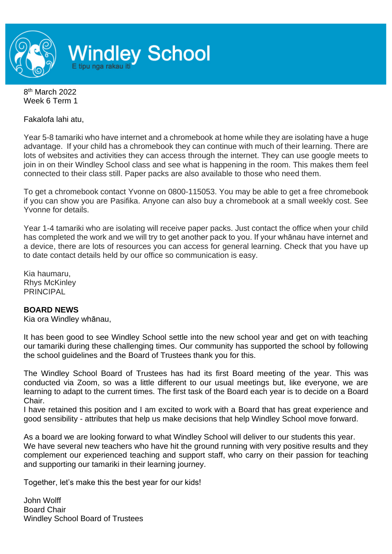

8<sup>th</sup> March 2022 Week 6 Term 1

Fakalofa lahi atu,

Year 5-8 tamariki who have internet and a chromebook at home while they are isolating have a huge advantage. If your child has a chromebook they can continue with much of their learning. There are lots of websites and activities they can access through the internet. They can use google meets to join in on their Windley School class and see what is happening in the room. This makes them feel connected to their class still. Paper packs are also available to those who need them.

To get a chromebook contact Yvonne on 0800-115053. You may be able to get a free chromebook if you can show you are Pasifika. Anyone can also buy a chromebook at a small weekly cost. See Yvonne for details.

Year 1-4 tamariki who are isolating will receive paper packs. Just contact the office when your child has completed the work and we will try to get another pack to you. If your whānau have internet and a device, there are lots of resources you can access for general learning. Check that you have up to date contact details held by our office so communication is easy.

Kia haumaru, Rhys McKinley PRINCIPAL

## **BOARD NEWS**

Kia ora Windley whānau,

It has been good to see Windley School settle into the new school year and get on with teaching our tamariki during these challenging times. Our community has supported the school by following the school guidelines and the Board of Trustees thank you for this.

The Windley School Board of Trustees has had its first Board meeting of the year. This was conducted via Zoom, so was a little different to our usual meetings but, like everyone, we are learning to adapt to the current times. The first task of the Board each year is to decide on a Board Chair.

I have retained this position and I am excited to work with a Board that has great experience and good sensibility - attributes that help us make decisions that help Windley School move forward.

As a board we are looking forward to what Windley School will deliver to our students this year. We have several new teachers who have hit the ground running with very positive results and they complement our experienced teaching and support staff, who carry on their passion for teaching and supporting our tamariki in their learning journey.

Together, let's make this the best year for our kids!

John Wolff Board Chair Windley School Board of Trustees